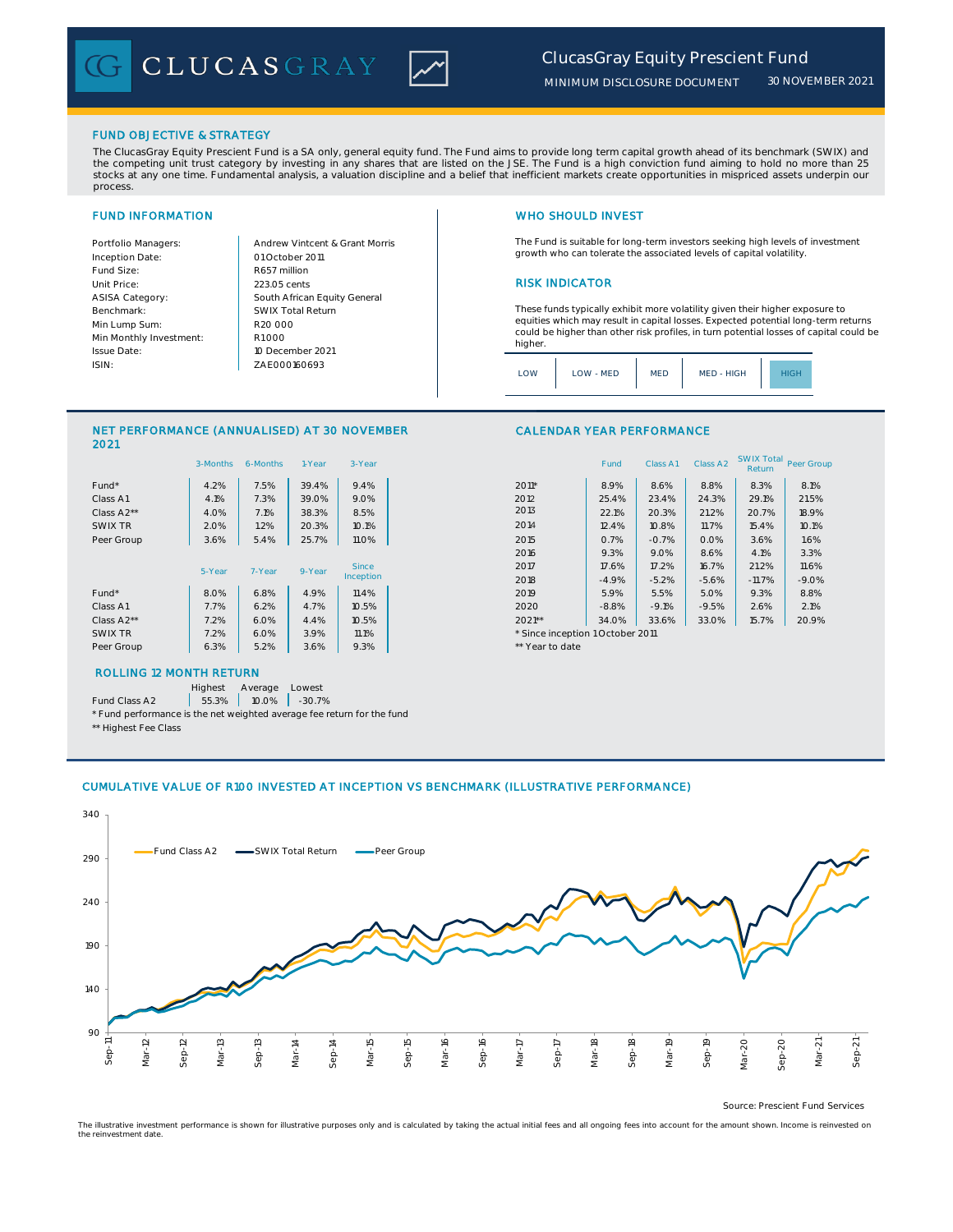

*30 NOVEMBER 2021*

## FUND OBJECTIVE & STRATEGY

The ClucasGray Equity Prescient Fund is a SA only, general equity fund. The Fund aims to provide long term capital growth ahead of its benchmark (SWIX) and the competing unit trust category by investing in any shares that are listed on the JSE. The Fund is a high conviction fund aiming to hold no more than 25 stocks at any one time. Fundamental analysis, a valuation discipline and a belief that inefficient markets create opportunities in mispriced assets underpin our process.

Inception Date: Fund Size:<br>
Unit Price: 223.05 cents ASISA Category: Benchmark: Min Lump Sum: Min Monthly Investment: Issue Date: ISIN:

Portfolio Managers: <br>Andrew Vintcent & Grant Morris South African Equity General 223.05 cents R1 000 01 October 2011 10 December 2021 R20 000 SWIX Total Return ZAE000160693

## FUND INFORMATION WHO SHOULD INVEST

The Fund is suitable for long-term investors seeking high levels of investment growth who can tolerate the associated levels of capital volatility.

## **RISK INDICATOR**

These funds typically exhibit more volatility given their higher exposure to equities which may result in capital losses. Expected potential long-term returns could be higher than other risk profiles, in turn potential losses of capital could be higher.

| $\bigcap M$ | LOW - MED | MED | MED - HIGH |  |
|-------------|-----------|-----|------------|--|
|             |           |     |            |  |

## NET PERFORMANCE (ANNUALISED) AT 30 NOVEMBER 2021

|            | 3-Months | 6-Months | 1-Year | 3-Year       |                                  | Fund    | Class A1 | Class A2 | <b>SYVIA TULAT</b><br>Return | Peer Gro |
|------------|----------|----------|--------|--------------|----------------------------------|---------|----------|----------|------------------------------|----------|
| Fund*      | 4.2%     | 7.5%     | 39.4%  | 9.4%         | $2011*$                          | 8.9%    | 8.6%     | 8.8%     | 8.3%                         | 8.1%     |
| Class A1   | 4.1%     | 7.3%     | 39.0%  | 9.0%         | 2012                             | 25.4%   | 23.4%    | 24.3%    | 29.1%                        | 21.5%    |
| Class A2** | 4.0%     | 7.1%     | 38.3%  | 8.5%         | 2013                             | 22.1%   | 20.3%    | 21.2%    | 20.7%                        | 18.9%    |
| SWIX TR    | 2.0%     | 1.2%     | 20.3%  | 10.1%        | 2014                             | 12.4%   | 10.8%    | 11.7%    | 15.4%                        | 10.1%    |
| Peer Group | 3.6%     | 5.4%     | 25.7%  | 11.0%        | 2015                             | 0.7%    | $-0.7%$  | 0.0%     | 3.6%                         | 1.6%     |
|            |          |          |        |              | 2016                             | 9.3%    | 9.0%     | 8.6%     | 4.1%                         | 3.3%     |
|            | 5-Year   | 7-Year   | 9-Year | <b>Since</b> | 2017                             | 17.6%   | 17.2%    | 16.7%    | 21.2%                        | 11.6%    |
|            |          |          |        | Inception    | 2018                             | $-4.9%$ | $-5.2%$  | $-5.6%$  | $-11.7%$                     | $-9.09$  |
| Fund*      | 8.0%     | 6.8%     | 4.9%   | 11.4%        | 2019                             | 5.9%    | 5.5%     | 5.0%     | 9.3%                         | 8.8%     |
| Class A1   | 7.7%     | 6.2%     | 4.7%   | 10.5%        | 2020                             | $-8.8%$ | $-9.1%$  | $-9.5%$  | 2.6%                         | 2.1%     |
| Class A2** | 7.2%     | 6.0%     | 4.4%   | 10.5%        | $2021**$                         | 34.0%   | 33.6%    | 33.0%    | 15.7%                        | 20.99    |
| SWIX TR    | 7.2%     | 6.0%     | 3.9%   | 11.1%        | * Since inception 1 October 2011 |         |          |          |                              |          |
| Peer Group | 6.3%     | 5.2%     | 3.6%   | 9.3%         | ** Year to date                  |         |          |          |                              |          |
|            |          |          |        |              |                                  |         |          |          |                              |          |

## ROLLING 12 MONTH RETURN

Highest Average Lowest

Fund Class A2  $\begin{array}{|c|c|c|c|c|} \hline \end{array}$  55.3% 10.0% -30.7% \* Fund performance is the net weighted average fee return for the fund

\*\* Highest Fee Class

### CALENDAR YEAR PERFORMANCE

|                         | 3-Months | 6-Months | 1-Year    | 3-Year |                                  | Fund    | Class A1 | Class A <sub>2</sub> | <b>SWIX Total</b><br>Return | Peer Group |
|-------------------------|----------|----------|-----------|--------|----------------------------------|---------|----------|----------------------|-----------------------------|------------|
| Fund*                   | 4.2%     | 7.5%     | 39.4%     | 9.4%   | $2011*$                          | 8.9%    | 8.6%     | 8.8%                 | 8.3%                        | 8.1%       |
| Class A1                | 4.1%     | 7.3%     | 39.0%     | 9.0%   | 2012                             | 25.4%   | 23.4%    | 24.3%                | 29.1%                       | 21.5%      |
| Class A <sub>2</sub> ** | 4.0%     | 7.1%     | 38.3%     | 8.5%   | 2013                             | 22.1%   | 20.3%    | 21.2%                | 20.7%                       | 18.9%      |
| SWIX TR                 | 2.0%     | $1.2\%$  | 20.3%     | 10.1%  | 2014                             | 12.4%   | 10.8%    | 11.7%                | 15.4%                       | 10.1%      |
| Peer Group              | 3.6%     | 5.4%     | 25.7%     | 11.0%  | 2015                             | 0.7%    | $-0.7%$  | 0.0%                 | 3.6%                        | 1.6%       |
|                         |          |          |           |        | 2016                             | 9.3%    | 9.0%     | 8.6%                 | 4.1%                        | 3.3%       |
| 5-Year                  | 7-Year   | 9-Year   | Since     | 2017   | 17.6%                            | 17.2%   | 16.7%    | 21.2%                | 11.6%                       |            |
|                         |          |          | Inception | 2018   | $-4.9%$                          | $-5.2%$ | $-5.6%$  | $-11.7%$             | $-9.0%$                     |            |
| Fund*                   | 8.0%     | 6.8%     | 4.9%      | 11.4%  | 2019                             | 5.9%    | 5.5%     | 5.0%                 | 9.3%                        | 8.8%       |
| Class A1                | 7.7%     | 6.2%     | 4.7%      | 10.5%  | 2020                             | $-8.8%$ | $-9.1%$  | $-9.5%$              | 2.6%                        | 2.1%       |
| Class A2**              | 7.2%     | 6.0%     | 4.4%      | 10.5%  | $2021**$                         | 34.0%   | 33.6%    | 33.0%                | 15.7%                       | 20.9%      |
| SWIX TR                 | 7.2%     | 6.0%     | 3.9%      | 11.1%  | * Since inception 1 October 2011 |         |          |                      |                             |            |

# CUMULATIVE VALUE OF R100 INVESTED AT INCEPTION VS BENCHMARK (ILLUSTRATIVE PERFORMANCE)



Source: Prescient Fund Services

The illustrative investment performance is shown for illustrative purposes only and is calculated by taking the actual initial fees and all ongoing fees into account for the amount shown. Income is reinvested on the reinvestment date.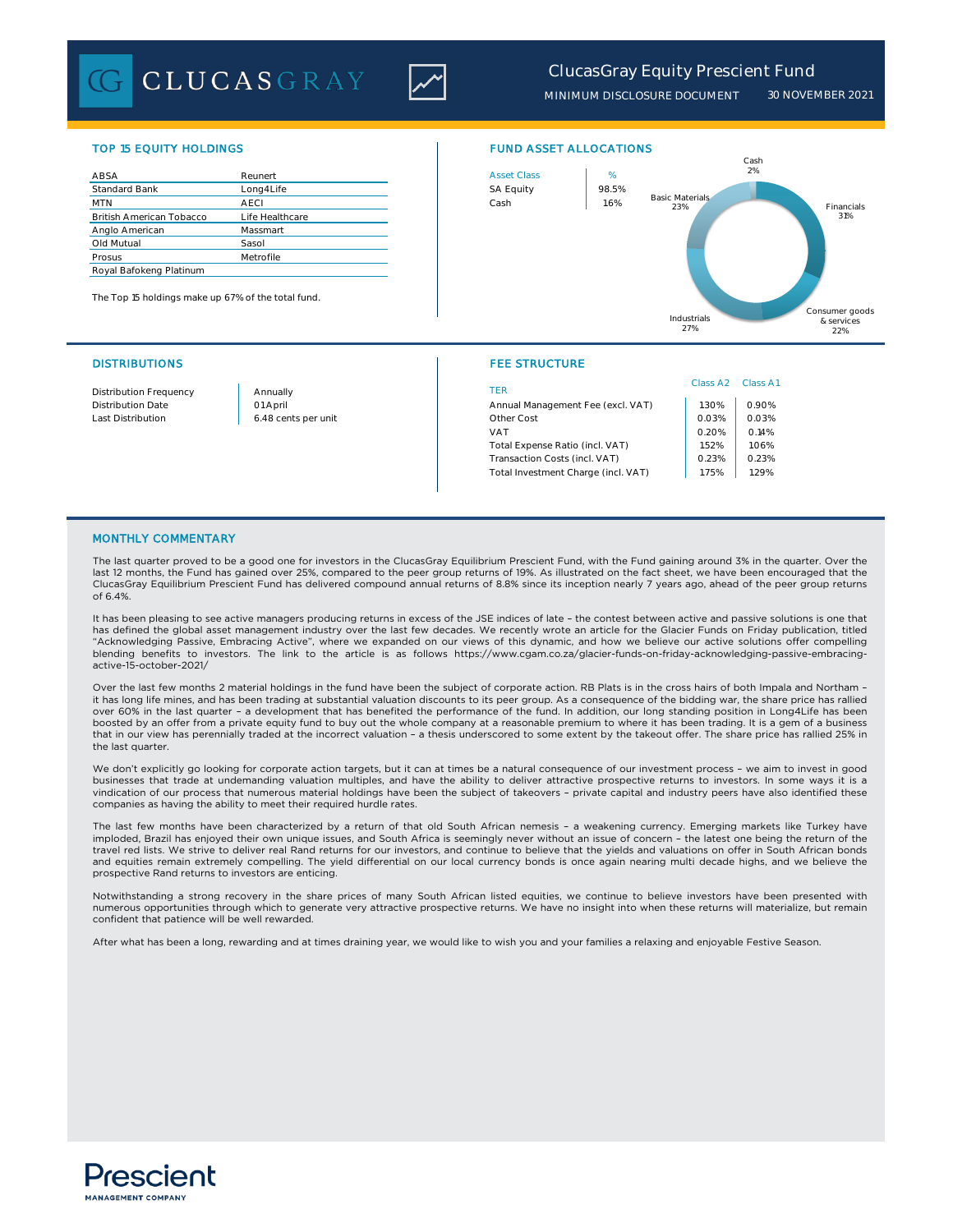**CLUCASGRAY** 



# *ClucasGray Equity Prescient Fund*

*MINIMUM DISCLOSURE DOCUMENT 30 NOVEMBER 2021*

| ABSA                            | Reunert         | <b>Asset Class</b> | %     |
|---------------------------------|-----------------|--------------------|-------|
| <b>Standard Bank</b>            | Long4Life       | <b>SA Equity</b>   | 98.5% |
| <b>MTN</b>                      | <b>AECI</b>     | Cash               | 1.6%  |
| <b>British American Tobacco</b> | Life Healthcare |                    |       |
| Anglo American                  | Massmart        |                    |       |
| Old Mutual                      | Sasol           |                    |       |
| Prosus                          | Metrofile       |                    |       |
| Royal Bafokeng Platinum         |                 |                    |       |

The Top 15 holdings make up 67% of the total fund.

## DISTRIBUTIONS FEE STRUCTURE

## TOP 15 EQUITY HOLDINGS FUND ASSET ALLOCATIONS



| Distribution Frequency | Annually            | TER                                 | Class A2 | Class A1 |
|------------------------|---------------------|-------------------------------------|----------|----------|
| Distribution Date      | 01 April            | Annual Management Fee (excl. VAT)   | $.30\%$  | 0.90%    |
| Last Distribution      | 6.48 cents per unit | Other Cost                          | 0.03%    | 0.03%    |
|                        |                     | <b>VAT</b>                          | 0.20%    | 0.14%    |
|                        |                     | Total Expense Ratio (incl. VAT)     | 1.52%    | 1.06%    |
|                        |                     | Transaction Costs (incl. VAT)       | 0.23%    | 0.23%    |
|                        |                     | Total Investment Charge (incl. VAT) | 1.75%    | 1.29%    |
|                        |                     |                                     |          |          |

## MONTHLY COMMENTARY

The last quarter proved to be a good one for investors in the ClucasGray Equilibrium Prescient Fund, with the Fund gaining around 3% in the quarter. Over the last 12 months, the Fund has gained over 25%, compared to the peer group returns of 19%. As illustrated on the fact sheet, we have been encouraged that the ClucasGray Equilibrium Prescient Fund has delivered compound annual returns of 8.8% since its inception nearly 7 years ago, ahead of the peer group returns of 6.4%.

It has been pleasing to see active managers producing returns in excess of the JSE indices of late - the contest between active and passive solutions is one that has defined the global asset management industry over the last few decades. We recently wrote an article for the Glacier Funds on Friday publication, titled "Acknowledging Passive, Embracing Active", where we expanded on our views of this dynamic, and how we believe our active solutions offer compelling<br>blending benefits to investors. The link to the article is as follows http active-15-october-2021/

Over the last few months 2 material holdings in the fund have been the subject of corporate action. RB Plats is in the cross hairs of both Impala and Northam – it has long life mines, and has been trading at substantial valuation discounts to its peer group. As a consequence of the bidding war, the share price has rallied over 60% in the last quarter – a development that has benefited the performance of the fund. In addition, our long standing position in Long4Life has been boosted by an offer from a private equity fund to buy out the whole company at a reasonable premium to where it has been trading. It is a gem of a business that in our view has perennially traded at the incorrect valuation – a thesis underscored to some extent by the takeout offer. The share price has rallied 25% in the last quarter.

We don't explicitly go looking for corporate action targets, but it can at times be a natural consequence of our investment process – we aim to invest in good businesses that trade at undemanding valuation multiples, and have the ability to deliver attractive prospective returns to investors. In some ways it is a vindication of our process that numerous material holdings have been the subject of takeovers – private capital and industry peers have also identified these companies as having the ability to meet their required hurdle rates.

The last few months have been characterized by a return of that old South African nemesis – a weakening currency. Emerging markets like Turkey have imploded, Brazil has enjoyed their own unique issues, and South Africa is seemingly never without an issue of concern – the latest one being the return of the<br>travel red lists. We strive to deliver real Rand returns for ou and equities remain extremely compelling. The yield differential on our local currency bonds is once again nearing multi decade highs, and we believe the prospective Rand returns to investors are enticing.

Notwithstanding a strong recovery in the share prices of many South African listed equities, we continue to believe investors have been presented with numerous opportunities through which to generate very attractive prospective returns. We have no insight into when these returns will materialize, but remain confident that patience will be well rewarded.

After what has been a long, rewarding and at times draining year, we would like to wish you and your families a relaxing and enjoyable Festive Season.